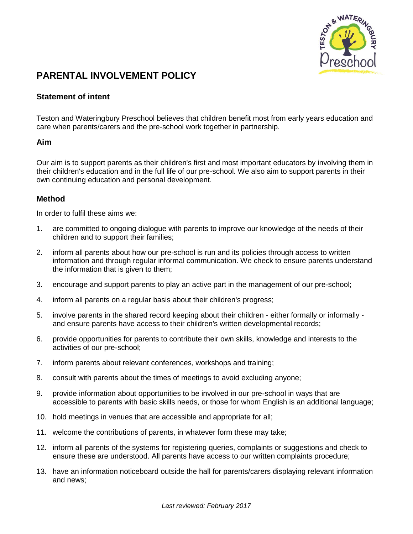

## **PARENTAL INVOLVEMENT POLICY**

## **Statement of intent**

Teston and Wateringbury Preschool believes that children benefit most from early years education and care when parents/carers and the pre-school work together in partnership.

## **Aim**

Our aim is to support parents as their children's first and most important educators by involving them in their children's education and in the full life of our pre-school. We also aim to support parents in their own continuing education and personal development.

## **Method**

In order to fulfil these aims we:

- 1. are committed to ongoing dialogue with parents to improve our knowledge of the needs of their children and to support their families;
- 2. inform all parents about how our pre-school is run and its policies through access to written information and through regular informal communication. We check to ensure parents understand the information that is given to them;
- 3. encourage and support parents to play an active part in the management of our pre-school;
- 4. inform all parents on a regular basis about their children's progress;
- 5. involve parents in the shared record keeping about their children either formally or informally and ensure parents have access to their children's written developmental records;
- 6. provide opportunities for parents to contribute their own skills, knowledge and interests to the activities of our pre-school;
- 7. inform parents about relevant conferences, workshops and training;
- 8. consult with parents about the times of meetings to avoid excluding anyone;
- 9. provide information about opportunities to be involved in our pre-school in ways that are accessible to parents with basic skills needs, or those for whom English is an additional language;
- 10. hold meetings in venues that are accessible and appropriate for all;
- 11. welcome the contributions of parents, in whatever form these may take;
- 12. inform all parents of the systems for registering queries, complaints or suggestions and check to ensure these are understood. All parents have access to our written complaints procedure;
- 13. have an information noticeboard outside the hall for parents/carers displaying relevant information and news;